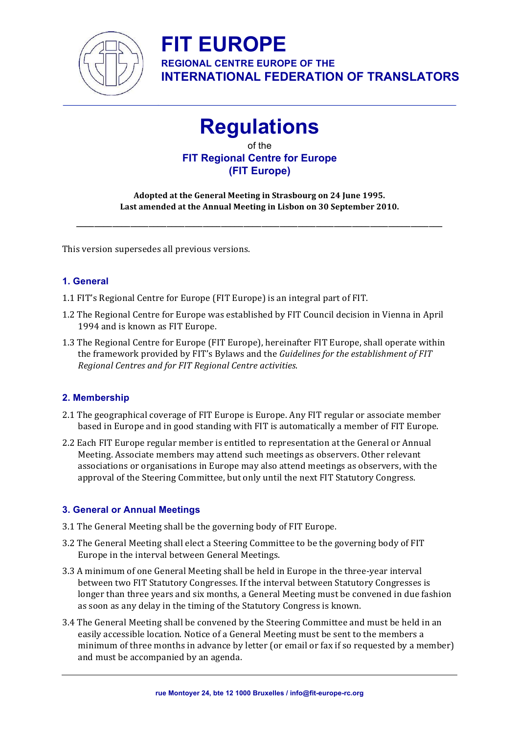![](_page_0_Picture_0.jpeg)

**REGIONAL CENTRE EUROPE OF THE INTERNATIONAL FEDERATION OF TRANSLATORS**

### **Regulations**

of the **FIT Regional Centre for Europe (FIT Europe)** 

Adopted at the General Meeting in Strasbourg on 24 June 1995. Last amended at the Annual Meeting in Lisbon on 30 September 2010.

\_\_\_\_\_\_\_\_\_\_\_\_\_\_\_\_\_\_\_\_\_\_\_\_\_\_\_\_\_\_\_\_\_\_\_\_\_\_\_\_\_\_\_\_\_\_\_\_\_\_\_\_\_\_\_\_\_\_\_\_\_\_\_\_\_\_\_\_\_\_\_\_\_\_\_\_\_\_\_\_\_ 

This version supersedes all previous versions.

#### **1. General**

- 1.1 FIT's Regional Centre for Europe (FIT Europe) is an integral part of FIT.
- 1.2 The Regional Centre for Europe was established by FIT Council decision in Vienna in April 1994 and is known as FIT Europe.
- 1.3 The Regional Centre for Europe (FIT Europe), hereinafter FIT Europe, shall operate within the framework provided by FIT's Bylaws and the *Guidelines for the establishment of FIT Regional Centres and for FIT Regional Centre activities*.

#### **2. Membership**

- 2.1 The geographical coverage of FIT Europe is Europe. Any FIT regular or associate member based in Europe and in good standing with FIT is automatically a member of FIT Europe.
- 2.2 Each FIT Europe regular member is entitled to representation at the General or Annual Meeting. Associate members may attend such meetings as observers. Other relevant associations or organisations in Europe may also attend meetings as observers, with the approval of the Steering Committee, but only until the next FIT Statutory Congress.

#### **3. General or Annual Meetings**

- 3.1 The General Meeting shall be the governing body of FIT Europe.
- 3.2 The General Meeting shall elect a Steering Committee to be the governing body of FIT Europe in the interval between General Meetings.
- 3.3 A minimum of one General Meeting shall be held in Europe in the three-year interval between two FIT Statutory Congresses. If the interval between Statutory Congresses is longer than three years and six months, a General Meeting must be convened in due fashion as soon as any delay in the timing of the Statutory Congress is known.
- 3.4 The General Meeting shall be convened by the Steering Committee and must be held in an easily accessible location. Notice of a General Meeting must be sent to the members a minimum of three months in advance by letter (or email or fax if so requested by a member) and must be accompanied by an agenda.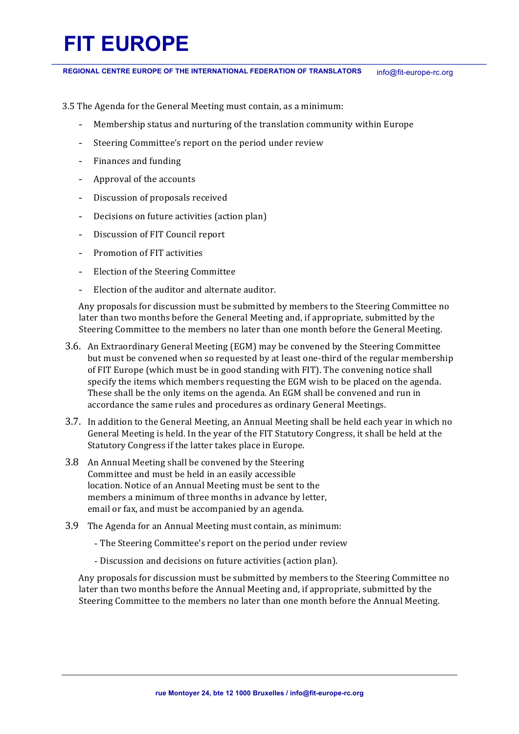REGIONAL CENTRE EUROPE OF THE INTERNATIONAL FEDERATION OF TRANSLATORS info@fit-europe-rc.org

- 3.5 The Agenda for the General Meeting must contain, as a minimum:
	- Membership status and nurturing of the translation community within Europe
	- Steering Committee's report on the period under review
	- Finances and funding
	- Approval of the accounts
	- Discussion of proposals received
	- Decisions on future activities (action plan)
	- Discussion of FIT Council report
	- Promotion of FIT activities
	- Election of the Steering Committee
	- Election of the auditor and alternate auditor.

Any proposals for discussion must be submitted by members to the Steering Committee no later than two months before the General Meeting and, if appropriate, submitted by the Steering Committee to the members no later than one month before the General Meeting.

- 3.6. An Extraordinary General Meeting (EGM) may be convened by the Steering Committee but must be convened when so requested by at least one-third of the regular membership of FIT Europe (which must be in good standing with FIT). The convening notice shall specify the items which members requesting the EGM wish to be placed on the agenda. These shall be the only items on the agenda. An EGM shall be convened and run in accordance the same rules and procedures as ordinary General Meetings.
- 3.7. In addition to the General Meeting, an Annual Meeting shall be held each year in which no General Meeting is held. In the year of the FIT Statutory Congress, it shall be held at the Statutory Congress if the latter takes place in Europe.
- 3.8 An Annual Meeting shall be convened by the Steering Committee and must be held in an easily accessible location. Notice of an Annual Meeting must be sent to the members a minimum of three months in advance by letter, email or fax, and must be accompanied by an agenda.
- 3.9 The Agenda for an Annual Meeting must contain, as minimum:
	- The Steering Committee's report on the period under review
	- Discussion and decisions on future activities (action plan).

Any proposals for discussion must be submitted by members to the Steering Committee no later than two months before the Annual Meeting and, if appropriate, submitted by the Steering Committee to the members no later than one month before the Annual Meeting.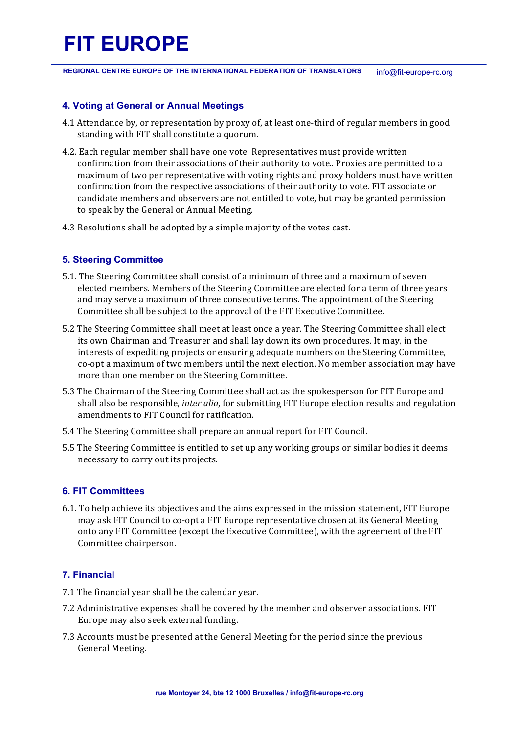REGIONAL CENTRE EUROPE OF THE INTERNATIONAL FEDERATION OF TRANSLATORS info@fit-europe-rc.org

#### **4. Voting at General or Annual Meetings**

- 4.1 Attendance by, or representation by proxy of, at least one-third of regular members in good standing with FIT shall constitute a quorum.
- 4.2. Each regular member shall have one vote. Representatives must provide written confirmation from their associations of their authority to vote.. Proxies are permitted to a maximum of two per representative with voting rights and proxy holders must have written confirmation from the respective associations of their authority to vote. FIT associate or candidate members and observers are not entitled to vote, but may be granted permission to speak by the General or Annual Meeting.
- 4.3 Resolutions shall be adopted by a simple majority of the votes cast.

#### **5. Steering Committee**

- 5.1. The Steering Committee shall consist of a minimum of three and a maximum of seven elected members. Members of the Steering Committee are elected for a term of three years and may serve a maximum of three consecutive terms. The appointment of the Steering Committee shall be subject to the approval of the FIT Executive Committee.
- 5.2 The Steering Committee shall meet at least once a year. The Steering Committee shall elect its own Chairman and Treasurer and shall lay down its own procedures. It may, in the interests of expediting projects or ensuring adequate numbers on the Steering Committee, co-opt a maximum of two members until the next election. No member association may have more than one member on the Steering Committee.
- 5.3 The Chairman of the Steering Committee shall act as the spokesperson for FIT Europe and shall also be responsible, *inter alia*, for submitting FIT Europe election results and regulation amendments to FIT Council for ratification.
- 5.4 The Steering Committee shall prepare an annual report for FIT Council.
- 5.5 The Steering Committee is entitled to set up any working groups or similar bodies it deems necessary to carry out its projects.

#### **6. FIT Committees**

6.1. To help achieve its objectives and the aims expressed in the mission statement, FIT Europe may ask FIT Council to co-opt a FIT Europe representative chosen at its General Meeting onto any FIT Committee (except the Executive Committee), with the agreement of the FIT Committee chairperson.

#### **7. Financial**

- 7.1 The financial year shall be the calendar year.
- 7.2 Administrative expenses shall be covered by the member and observer associations. FIT Europe may also seek external funding.
- 7.3 Accounts must be presented at the General Meeting for the period since the previous General Meeting.